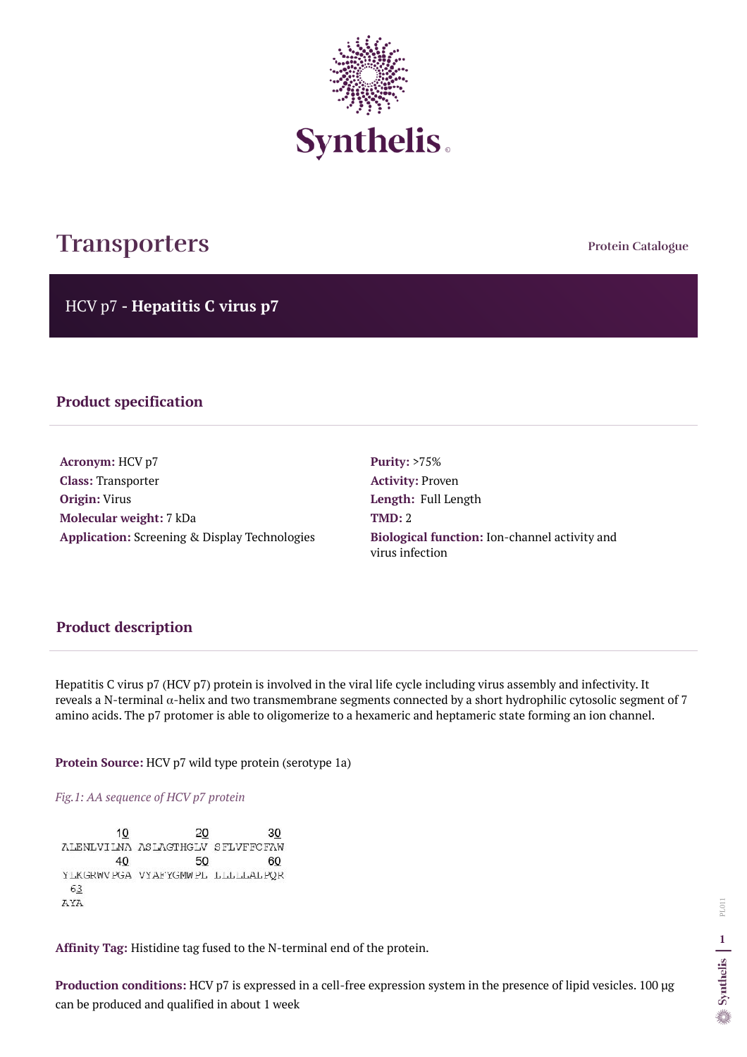**Protein Catalogue**

HCV p7 **- Hepatitis C virus p7**



# **Transporters**

## **Product specification**

**Acronym:** HCV p7 **Class:** Transporter **Origin:** Virus **Molecular weight:** 7 kDa **Application:** Screening & Display Technologies **Purity:** >75% **Activity:** Proven **Length:** Full Length **TMD:** 2 **Biological function:** Ion-channel activity and virus infection

Hepatitis C virus p7 (HCV p7) protein is involved in the viral life cycle including virus assembly and infectivity. It reveals a N-terminal  $\alpha$ -helix and two transmembrane segments connected by a short hydrophilic cytosolic segment of 7 amino acids. The p7 protomer is able to oligomerize to a hexameric and heptameric state forming an ion channel.

**Protein Source:** HCV p7 wild type protein (serotype 1a)

*Fig.1: AA sequence of HCV p7 protein* 

| 10  | 20                                |    |
|-----|-----------------------------------|----|
|     | ALENLVILMA ASLAGTHGLV SFLVFFCFAW  |    |
| 40  | 50                                | 60 |
|     | YLKGRWVPGA VYAFYGMWPL LLLLLLALPQR |    |
| 63  |                                   |    |
| AYA |                                   |    |

**Affinity Tag:** Histidine tag fused to the N-terminal end of the protein.

**Production conditions:** HCV p7 is expressed in a cell-free expression system in the presence of lipid vesicles. 100 µg can be produced and qualified in about 1 week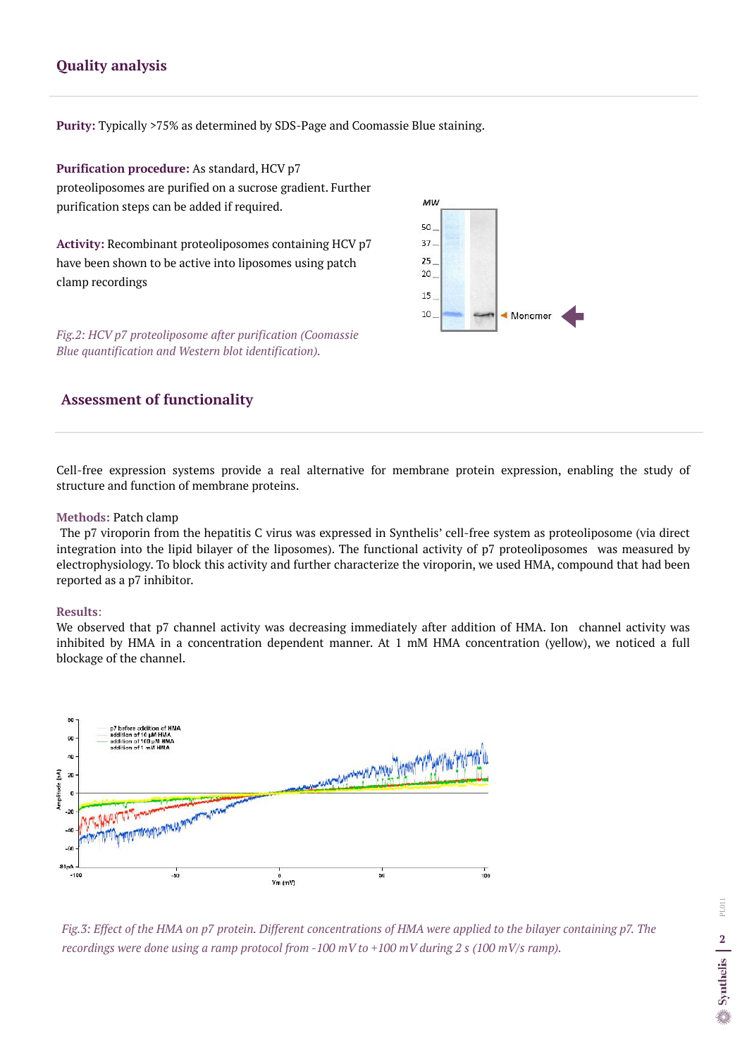Cell-free expression systems provide a real alternative for membrane protein expression, enabling the study of structure and function of membrane proteins.

#### **Methods:** Patch clamp

The p7 viroporin from the hepatitis C virus was expressed in Synthelis' cell-free system as proteoliposome (via direct integration into the lipid bilayer of the liposomes). The functional activity of p7 proteoliposomes was measured by electrophysiology. To block this activity and further characterize the viroporin, we used HMA, compound that had been reported as a p7 inhibitor.



We observed that p7 channel activity was decreasing immediately after addition of HMA. Ion channel activity was inhibited by HMA in a concentration dependent manner. At 1 mM HMA concentration (yellow), we noticed a full blockage of the channel.



### **Results**:

## **Assessment of functionality**

## **Quality analysis**

**Purity:** Typically >75% as determined by SDS-Page and Coomassie Blue staining.

**Purification procedure:** As standard, HCV p7 proteoliposomes are purified on a sucrose gradient. Further purification steps can be added if required.

**Activity:** Recombinant proteoliposomes containing HCV p7 have been shown to be active into liposomes using patch clamp recordings

*Fig.2: HCV p7 proteoliposome after purification (Coomassie Blue quantification and Western blot identification).*

*Fig.3: Effect of the HMA on p7 protein. Different concentrations of HMA were applied to the bilayer containing p7. The recordings were done using a ramp protocol from -100 mV to +100 mV during 2 s (100 mV/s ramp).*